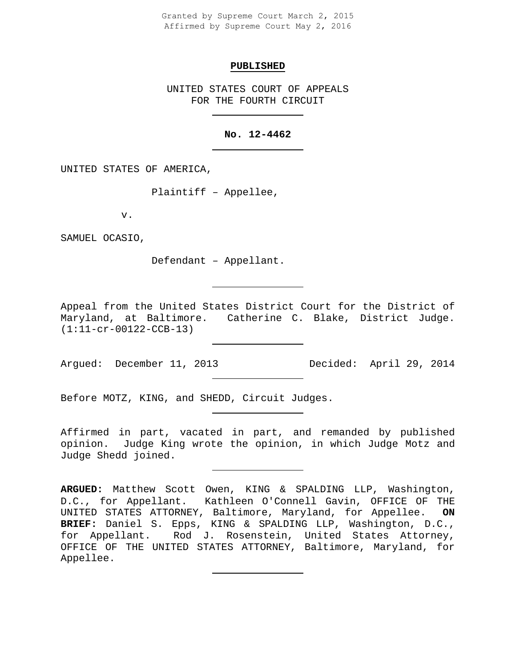Granted by Supreme Court March 2, 2015 Affirmed by Supreme Court May 2, 2016

#### **PUBLISHED**

UNITED STATES COURT OF APPEALS FOR THE FOURTH CIRCUIT

# **No. 12-4462**

UNITED STATES OF AMERICA,

Plaintiff – Appellee,

v.

SAMUEL OCASIO,

Defendant – Appellant.

Appeal from the United States District Court for the District of Maryland, at Baltimore. Catherine C. Blake, District Judge. (1:11-cr-00122-CCB-13)

Argued: December 11, 2013 Decided: April 29, 2014

Before MOTZ, KING, and SHEDD, Circuit Judges.

Affirmed in part, vacated in part, and remanded by published opinion. Judge King wrote the opinion, in which Judge Motz and Judge Shedd joined.

**ARGUED:** Matthew Scott Owen, KING & SPALDING LLP, Washington, D.C., for Appellant. Kathleen O'Connell Gavin, OFFICE OF THE UNITED STATES ATTORNEY, Baltimore, Maryland, for Appellee. **ON BRIEF:** Daniel S. Epps, KING & SPALDING LLP, Washington, D.C., for Appellant. Rod J. Rosenstein, United States Attorney, OFFICE OF THE UNITED STATES ATTORNEY, Baltimore, Maryland, for Appellee.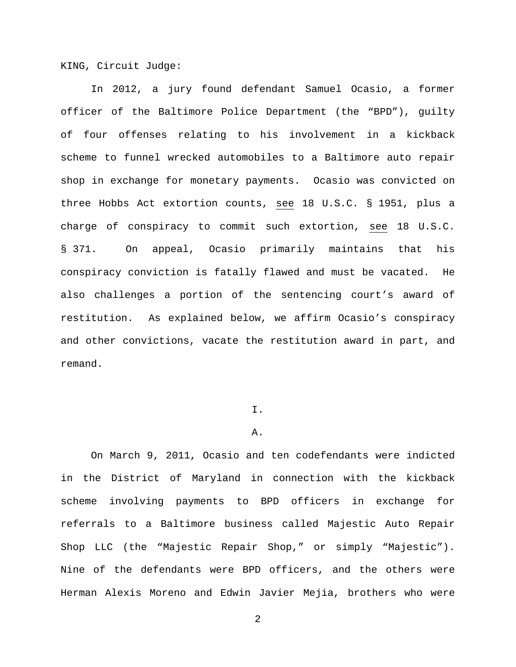KING, Circuit Judge:

In 2012, a jury found defendant Samuel Ocasio, a former officer of the Baltimore Police Department (the "BPD"), guilty of four offenses relating to his involvement in a kickback scheme to funnel wrecked automobiles to a Baltimore auto repair shop in exchange for monetary payments. Ocasio was convicted on three Hobbs Act extortion counts, see 18 U.S.C. § 1951, plus a charge of conspiracy to commit such extortion, see 18 U.S.C. § 371. On appeal, Ocasio primarily maintains that his conspiracy conviction is fatally flawed and must be vacated. He also challenges a portion of the sentencing court's award of restitution. As explained below, we affirm Ocasio's conspiracy and other convictions, vacate the restitution award in part, and remand.

# I.

#### A.

On March 9, 2011, Ocasio and ten codefendants were indicted in the District of Maryland in connection with the kickback scheme involving payments to BPD officers in exchange for referrals to a Baltimore business called Majestic Auto Repair Shop LLC (the "Majestic Repair Shop," or simply "Majestic"). Nine of the defendants were BPD officers, and the others were Herman Alexis Moreno and Edwin Javier Mejia, brothers who were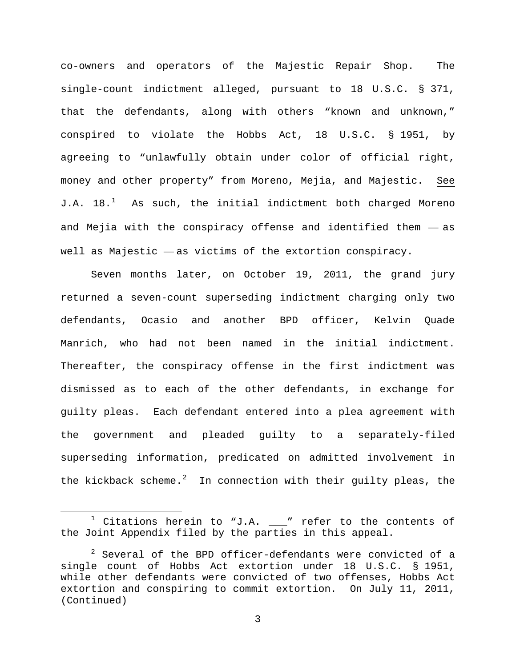co-owners and operators of the Majestic Repair Shop. The single-count indictment alleged, pursuant to 18 U.S.C. § 371, that the defendants, along with others "known and unknown," conspired to violate the Hobbs Act, 18 U.S.C. § 1951, by agreeing to "unlawfully obtain under color of official right, money and other property" from Moreno, Mejia, and Majestic. See J.A.  $18.^1$  $18.^1$  As such, the initial indictment both charged Moreno and Mejia with the conspiracy offense and identified them — as well as Majestic — as victims of the extortion conspiracy.

Seven months later, on October 19, 2011, the grand jury returned a seven-count superseding indictment charging only two defendants, Ocasio and another BPD officer, Kelvin Quade Manrich, who had not been named in the initial indictment. Thereafter, the conspiracy offense in the first indictment was dismissed as to each of the other defendants, in exchange for guilty pleas. Each defendant entered into a plea agreement with the government and pleaded guilty to a separately-filed superseding information, predicated on admitted involvement in the kickback scheme.<sup>[2](#page-2-1)</sup> In connection with their guilty pleas, the

<span id="page-2-0"></span> $1$  Citations herein to "J.A.  $\_\!\_''$  refer to the contents of the Joint Appendix filed by the parties in this appeal.

<span id="page-2-1"></span> $2$  Several of the BPD officer-defendants were convicted of a single count of Hobbs Act extortion under 18 U.S.C. § 1951, while other defendants were convicted of two offenses, Hobbs Act extortion and conspiring to commit extortion. On July 11, 2011, (Continued)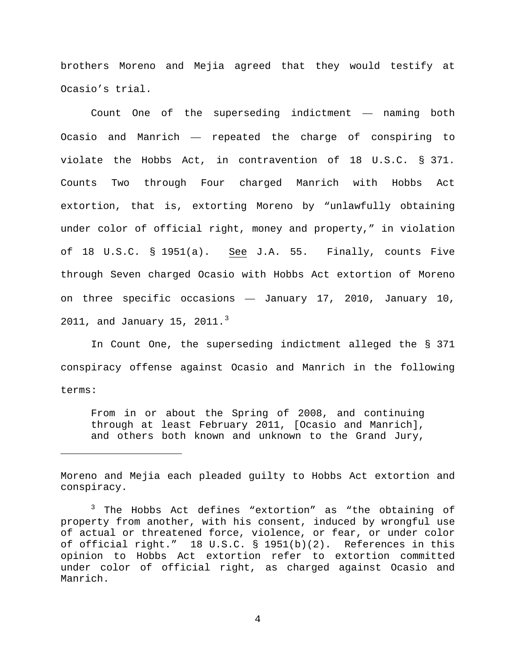brothers Moreno and Mejia agreed that they would testify at Ocasio's trial.

Count One of the superseding indictment — naming both Ocasio and Manrich — repeated the charge of conspiring to violate the Hobbs Act, in contravention of 18 U.S.C. § 371. Counts Two through Four charged Manrich with Hobbs Act extortion, that is, extorting Moreno by "unlawfully obtaining under color of official right, money and property," in violation of 18 U.S.C. § 1951(a). See J.A. 55. Finally, counts Five through Seven charged Ocasio with Hobbs Act extortion of Moreno on three specific occasions — January 17, 2010, January 10,  $2011$ , and January 15,  $2011.^3$  $2011.^3$ 

In Count One, the superseding indictment alleged the § 371 conspiracy offense against Ocasio and Manrich in the following terms:

From in or about the Spring of 2008, and continuing through at least February 2011, [Ocasio and Manrich], and others both known and unknown to the Grand Jury,

Moreno and Mejia each pleaded guilty to Hobbs Act extortion and conspiracy.

ī

<span id="page-3-0"></span><sup>3</sup> The Hobbs Act defines "extortion" as "the obtaining of property from another, with his consent, induced by wrongful use of actual or threatened force, violence, or fear, or under color of official right." 18 U.S.C. § 1951(b)(2). References in this opinion to Hobbs Act extortion refer to extortion committed under color of official right, as charged against Ocasio and Manrich.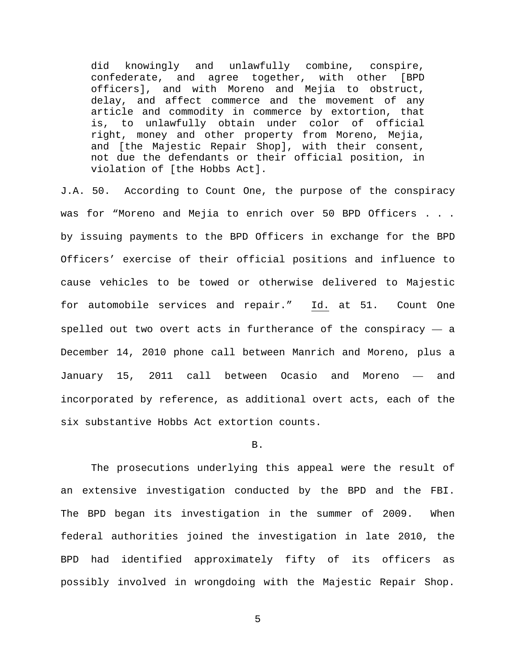did knowingly and unlawfully combine, conspire, confederate, and agree together, with other [BPD officers], and with Moreno and Mejia to obstruct, delay, and affect commerce and the movement of any article and commodity in commerce by extortion, that is, to unlawfully obtain under color of official right, money and other property from Moreno, Mejia, and [the Majestic Repair Shop], with their consent, not due the defendants or their official position, in violation of [the Hobbs Act].

J.A. 50. According to Count One, the purpose of the conspiracy was for "Moreno and Mejia to enrich over 50 BPD Officers . . . by issuing payments to the BPD Officers in exchange for the BPD Officers' exercise of their official positions and influence to cause vehicles to be towed or otherwise delivered to Majestic for automobile services and repair." Id. at 51. Count One spelled out two overt acts in furtherance of the conspiracy  $-$  a December 14, 2010 phone call between Manrich and Moreno, plus a January 15, 2011 call between Ocasio and Moreno — and incorporated by reference, as additional overt acts, each of the six substantive Hobbs Act extortion counts.

### B.

The prosecutions underlying this appeal were the result of an extensive investigation conducted by the BPD and the FBI. The BPD began its investigation in the summer of 2009. When federal authorities joined the investigation in late 2010, the BPD had identified approximately fifty of its officers as possibly involved in wrongdoing with the Majestic Repair Shop.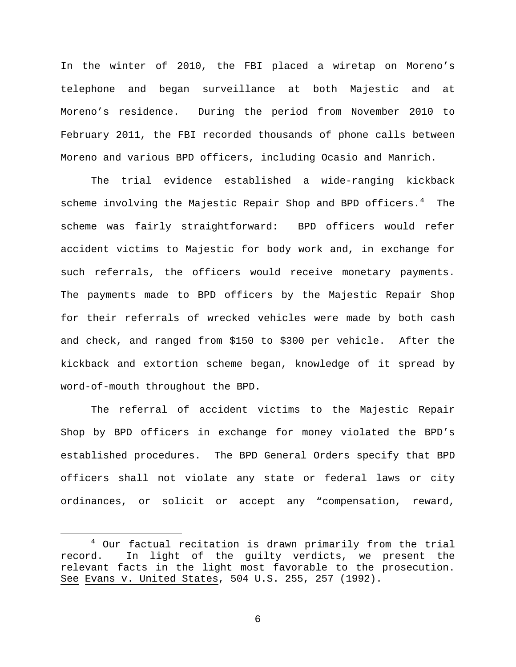In the winter of 2010, the FBI placed a wiretap on Moreno's telephone and began surveillance at both Majestic and at Moreno's residence. During the period from November 2010 to February 2011, the FBI recorded thousands of phone calls between Moreno and various BPD officers, including Ocasio and Manrich.

The trial evidence established a wide-ranging kickback scheme involving the Majestic Repair Shop and BPD officers.<sup>[4](#page-5-0)</sup> The scheme was fairly straightforward: BPD officers would refer accident victims to Majestic for body work and, in exchange for such referrals, the officers would receive monetary payments. The payments made to BPD officers by the Majestic Repair Shop for their referrals of wrecked vehicles were made by both cash and check, and ranged from \$150 to \$300 per vehicle. After the kickback and extortion scheme began, knowledge of it spread by word-of-mouth throughout the BPD.

The referral of accident victims to the Majestic Repair Shop by BPD officers in exchange for money violated the BPD's established procedures. The BPD General Orders specify that BPD officers shall not violate any state or federal laws or city ordinances, or solicit or accept any "compensation, reward,

<span id="page-5-0"></span> <sup>4</sup> Our factual recitation is drawn primarily from the trial record. In light of the guilty verdicts, we present the relevant facts in the light most favorable to the prosecution. See Evans v. United States, 504 U.S. 255, 257 (1992).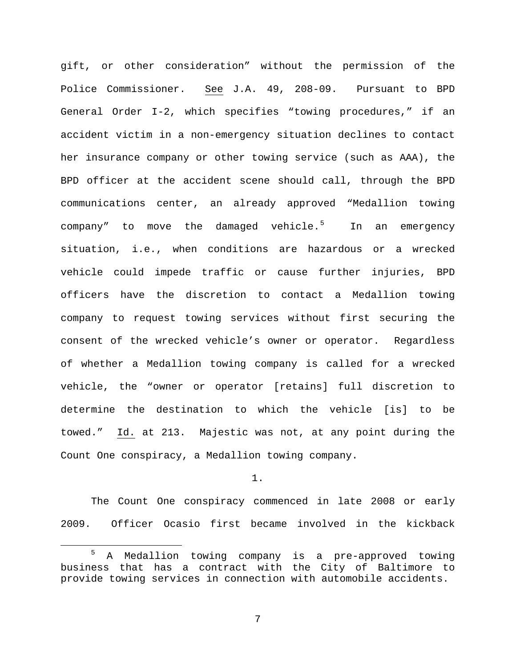gift, or other consideration" without the permission of the Police Commissioner. See J.A. 49, 208-09. Pursuant to BPD General Order I-2, which specifies "towing procedures," if an accident victim in a non-emergency situation declines to contact her insurance company or other towing service (such as AAA), the BPD officer at the accident scene should call, through the BPD communications center, an already approved "Medallion towing company" to move the damaged vehicle.<sup>[5](#page-6-0)</sup> In an emergency situation, i.e., when conditions are hazardous or a wrecked vehicle could impede traffic or cause further injuries, BPD officers have the discretion to contact a Medallion towing company to request towing services without first securing the consent of the wrecked vehicle's owner or operator. Regardless of whether a Medallion towing company is called for a wrecked vehicle, the "owner or operator [retains] full discretion to determine the destination to which the vehicle [is] to be towed." Id. at 213. Majestic was not, at any point during the Count One conspiracy, a Medallion towing company.

### 1.

The Count One conspiracy commenced in late 2008 or early 2009. Officer Ocasio first became involved in the kickback

<span id="page-6-0"></span> <sup>5</sup> A Medallion towing company is a pre-approved towing business that has a contract with the City of Baltimore to provide towing services in connection with automobile accidents.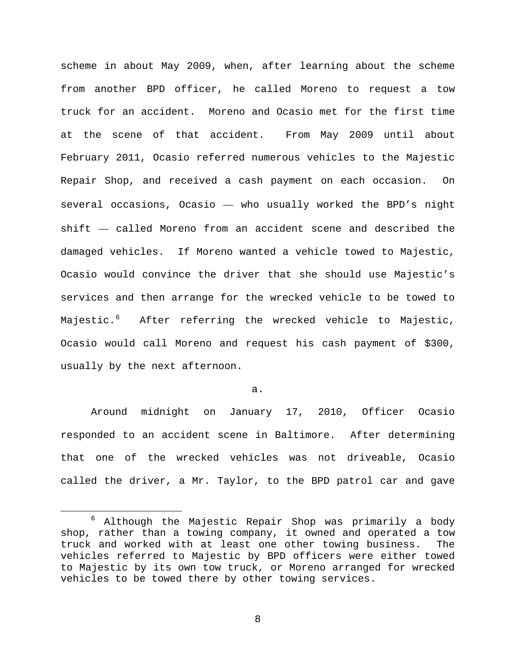scheme in about May 2009, when, after learning about the scheme from another BPD officer, he called Moreno to request a tow truck for an accident. Moreno and Ocasio met for the first time at the scene of that accident. From May 2009 until about February 2011, Ocasio referred numerous vehicles to the Majestic Repair Shop, and received a cash payment on each occasion. On several occasions, Ocasio — who usually worked the BPD's night shift — called Moreno from an accident scene and described the damaged vehicles. If Moreno wanted a vehicle towed to Majestic, Ocasio would convince the driver that she should use Majestic's services and then arrange for the wrecked vehicle to be towed to Majestic.[6](#page-7-0) After referring the wrecked vehicle to Majestic, Ocasio would call Moreno and request his cash payment of \$300, usually by the next afternoon.

a.

Around midnight on January 17, 2010, Officer Ocasio responded to an accident scene in Baltimore. After determining that one of the wrecked vehicles was not driveable, Ocasio called the driver, a Mr. Taylor, to the BPD patrol car and gave

<span id="page-7-0"></span> <sup>6</sup> Although the Majestic Repair Shop was primarily a body shop, rather than a towing company, it owned and operated a tow truck and worked with at least one other towing business. The vehicles referred to Majestic by BPD officers were either towed to Majestic by its own tow truck, or Moreno arranged for wrecked vehicles to be towed there by other towing services.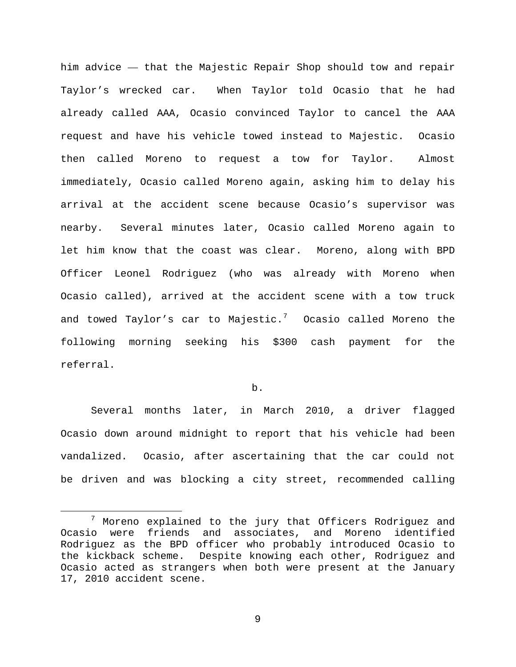him advice — that the Majestic Repair Shop should tow and repair Taylor's wrecked car. When Taylor told Ocasio that he had already called AAA, Ocasio convinced Taylor to cancel the AAA request and have his vehicle towed instead to Majestic. Ocasio then called Moreno to request a tow for Taylor. Almost immediately, Ocasio called Moreno again, asking him to delay his arrival at the accident scene because Ocasio's supervisor was nearby. Several minutes later, Ocasio called Moreno again to let him know that the coast was clear. Moreno, along with BPD Officer Leonel Rodriguez (who was already with Moreno when Ocasio called), arrived at the accident scene with a tow truck and towed Taylor's car to Majestic. $^7$  $^7$  Ocasio called Moreno the following morning seeking his \$300 cash payment for the referral.

## b.

Several months later, in March 2010, a driver flagged Ocasio down around midnight to report that his vehicle had been vandalized. Ocasio, after ascertaining that the car could not be driven and was blocking a city street, recommended calling

<span id="page-8-0"></span> $7$  Moreno explained to the jury that Officers Rodriguez and Ocasio were friends and associates, and Moreno identified Rodriguez as the BPD officer who probably introduced Ocasio to the kickback scheme.Despite knowing each other, Rodriguez and Ocasio acted as strangers when both were present at the January 17, 2010 accident scene.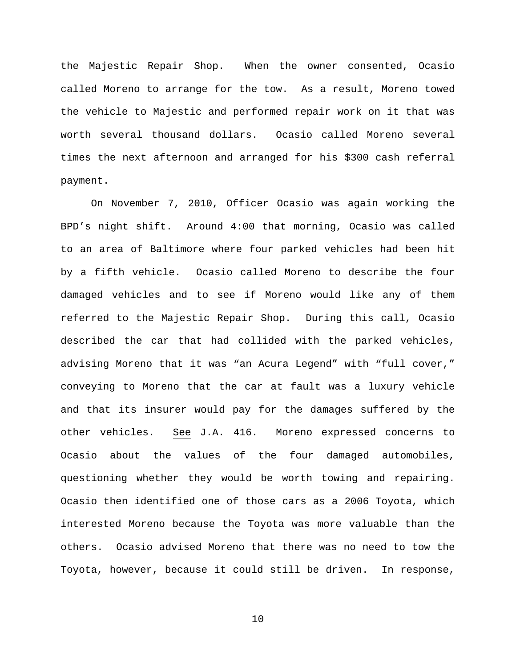the Majestic Repair Shop. When the owner consented, Ocasio called Moreno to arrange for the tow. As a result, Moreno towed the vehicle to Majestic and performed repair work on it that was worth several thousand dollars. Ocasio called Moreno several times the next afternoon and arranged for his \$300 cash referral payment.

On November 7, 2010, Officer Ocasio was again working the BPD's night shift. Around 4:00 that morning, Ocasio was called to an area of Baltimore where four parked vehicles had been hit by a fifth vehicle. Ocasio called Moreno to describe the four damaged vehicles and to see if Moreno would like any of them referred to the Majestic Repair Shop. During this call, Ocasio described the car that had collided with the parked vehicles, advising Moreno that it was "an Acura Legend" with "full cover," conveying to Moreno that the car at fault was a luxury vehicle and that its insurer would pay for the damages suffered by the other vehicles. See J.A. 416. Moreno expressed concerns to Ocasio about the values of the four damaged automobiles, questioning whether they would be worth towing and repairing. Ocasio then identified one of those cars as a 2006 Toyota, which interested Moreno because the Toyota was more valuable than the others. Ocasio advised Moreno that there was no need to tow the Toyota, however, because it could still be driven. In response,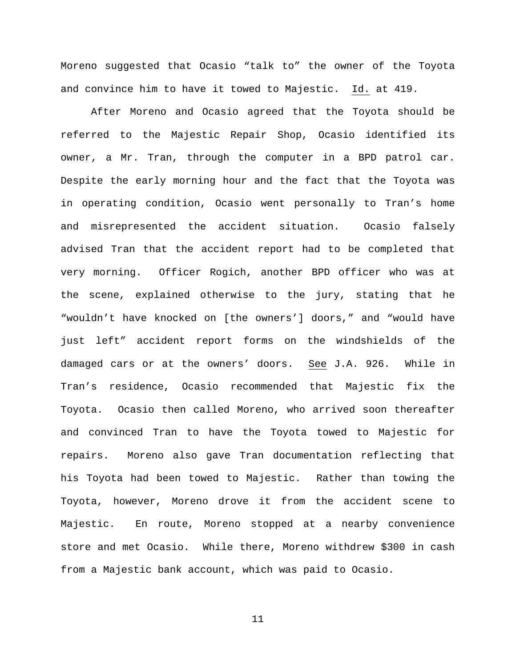Moreno suggested that Ocasio "talk to" the owner of the Toyota and convince him to have it towed to Majestic. Id. at 419.

After Moreno and Ocasio agreed that the Toyota should be referred to the Majestic Repair Shop, Ocasio identified its owner, a Mr. Tran, through the computer in a BPD patrol car. Despite the early morning hour and the fact that the Toyota was in operating condition, Ocasio went personally to Tran's home and misrepresented the accident situation. Ocasio falsely advised Tran that the accident report had to be completed that very morning. Officer Rogich, another BPD officer who was at the scene, explained otherwise to the jury, stating that he "wouldn't have knocked on [the owners'] doors," and "would have just left" accident report forms on the windshields of the damaged cars or at the owners' doors. See J.A. 926. While in Tran's residence, Ocasio recommended that Majestic fix the Toyota. Ocasio then called Moreno, who arrived soon thereafter and convinced Tran to have the Toyota towed to Majestic for repairs. Moreno also gave Tran documentation reflecting that his Toyota had been towed to Majestic. Rather than towing the Toyota, however, Moreno drove it from the accident scene to Majestic. En route, Moreno stopped at a nearby convenience store and met Ocasio. While there, Moreno withdrew \$300 in cash from a Majestic bank account, which was paid to Ocasio.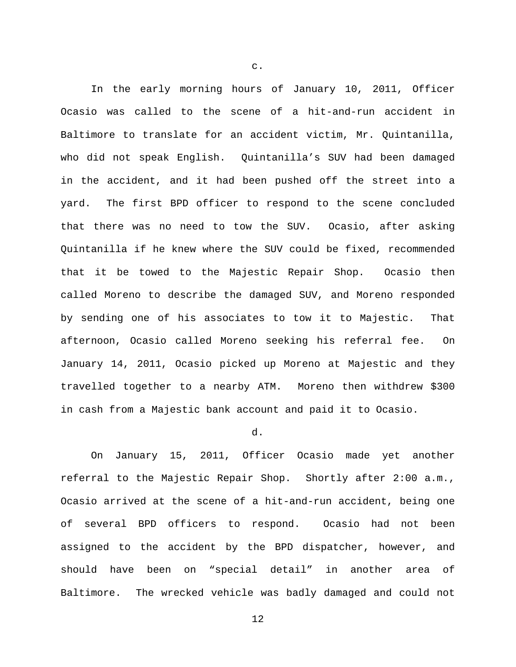In the early morning hours of January 10, 2011, Officer Ocasio was called to the scene of a hit-and-run accident in Baltimore to translate for an accident victim, Mr. Quintanilla, who did not speak English. Quintanilla's SUV had been damaged in the accident, and it had been pushed off the street into a yard. The first BPD officer to respond to the scene concluded that there was no need to tow the SUV. Ocasio, after asking Quintanilla if he knew where the SUV could be fixed, recommended that it be towed to the Majestic Repair Shop. Ocasio then called Moreno to describe the damaged SUV, and Moreno responded by sending one of his associates to tow it to Majestic. That afternoon, Ocasio called Moreno seeking his referral fee. On January 14, 2011, Ocasio picked up Moreno at Majestic and they travelled together to a nearby ATM. Moreno then withdrew \$300 in cash from a Majestic bank account and paid it to Ocasio.

# d.

On January 15, 2011, Officer Ocasio made yet another referral to the Majestic Repair Shop. Shortly after 2:00 a.m., Ocasio arrived at the scene of a hit-and-run accident, being one of several BPD officers to respond. Ocasio had not been assigned to the accident by the BPD dispatcher, however, and should have been on "special detail" in another area of Baltimore. The wrecked vehicle was badly damaged and could not

c.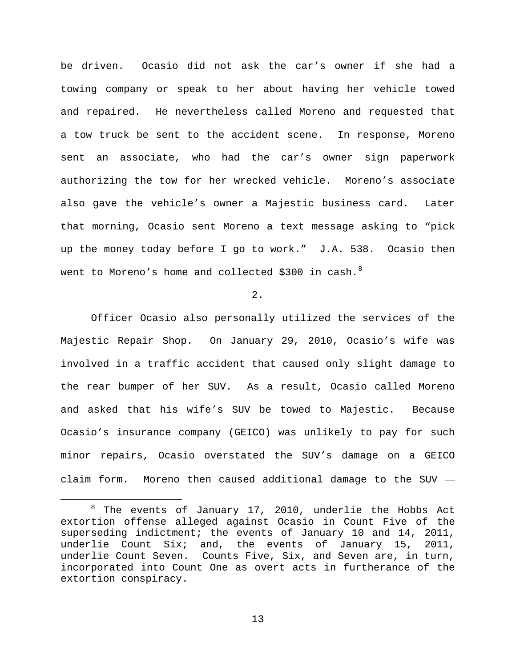be driven. Ocasio did not ask the car's owner if she had a towing company or speak to her about having her vehicle towed and repaired. He nevertheless called Moreno and requested that a tow truck be sent to the accident scene. In response, Moreno sent an associate, who had the car's owner sign paperwork authorizing the tow for her wrecked vehicle. Moreno's associate also gave the vehicle's owner a Majestic business card. Later that morning, Ocasio sent Moreno a text message asking to "pick up the money today before I go to work." J.A. 538. Ocasio then went to Moreno's home and collected \$300 in cash.<sup>[8](#page-12-0)</sup>

2.

Officer Ocasio also personally utilized the services of the Majestic Repair Shop. On January 29, 2010, Ocasio's wife was involved in a traffic accident that caused only slight damage to the rear bumper of her SUV. As a result, Ocasio called Moreno and asked that his wife's SUV be towed to Majestic. Because Ocasio's insurance company (GEICO) was unlikely to pay for such minor repairs, Ocasio overstated the SUV's damage on a GEICO claim form. Moreno then caused additional damage to the SUV —

<span id="page-12-0"></span> <sup>8</sup> The events of January 17, 2010, underlie the Hobbs Act extortion offense alleged against Ocasio in Count Five of the superseding indictment; the events of January 10 and 14, 2011, underlie Count Six; and, the events of January 15, 2011, underlie Count Seven. Counts Five, Six, and Seven are, in turn, incorporated into Count One as overt acts in furtherance of the extortion conspiracy.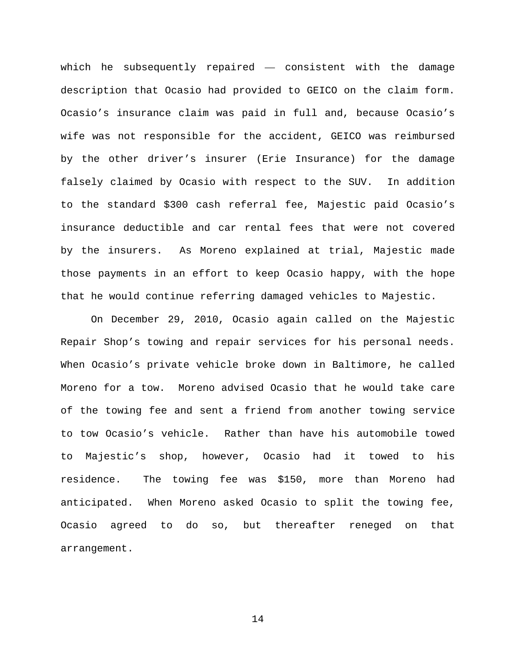which he subsequently repaired — consistent with the damage description that Ocasio had provided to GEICO on the claim form. Ocasio's insurance claim was paid in full and, because Ocasio's wife was not responsible for the accident, GEICO was reimbursed by the other driver's insurer (Erie Insurance) for the damage falsely claimed by Ocasio with respect to the SUV. In addition to the standard \$300 cash referral fee, Majestic paid Ocasio's insurance deductible and car rental fees that were not covered by the insurers. As Moreno explained at trial, Majestic made those payments in an effort to keep Ocasio happy, with the hope that he would continue referring damaged vehicles to Majestic.

On December 29, 2010, Ocasio again called on the Majestic Repair Shop's towing and repair services for his personal needs. When Ocasio's private vehicle broke down in Baltimore, he called Moreno for a tow. Moreno advised Ocasio that he would take care of the towing fee and sent a friend from another towing service to tow Ocasio's vehicle. Rather than have his automobile towed to Majestic's shop, however, Ocasio had it towed to his residence. The towing fee was \$150, more than Moreno had anticipated. When Moreno asked Ocasio to split the towing fee, Ocasio agreed to do so, but thereafter reneged on that arrangement.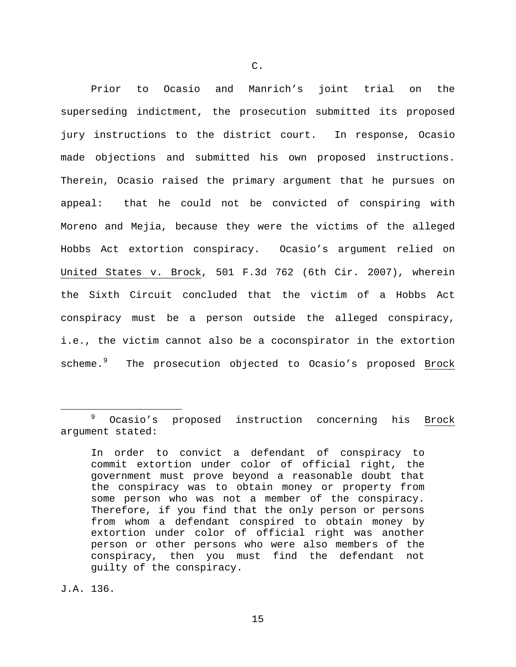Prior to Ocasio and Manrich's joint trial on the superseding indictment, the prosecution submitted its proposed jury instructions to the district court. In response, Ocasio made objections and submitted his own proposed instructions. Therein, Ocasio raised the primary argument that he pursues on appeal: that he could not be convicted of conspiring with Moreno and Mejia, because they were the victims of the alleged Hobbs Act extortion conspiracy. Ocasio's argument relied on United States v. Brock, 501 F.3d 762 (6th Cir. 2007), wherein the Sixth Circuit concluded that the victim of a Hobbs Act conspiracy must be a person outside the alleged conspiracy, i.e., the victim cannot also be a coconspirator in the extortion scheme.<sup>[9](#page-14-0)</sup> The prosecution objected to Ocasio's proposed Brock

J.A. 136.

<span id="page-14-0"></span> <sup>9</sup> Ocasio's proposed instruction concerning his Brock argument stated:

In order to convict a defendant of conspiracy to commit extortion under color of official right, the government must prove beyond a reasonable doubt that the conspiracy was to obtain money or property from some person who was not a member of the conspiracy. Therefore, if you find that the only person or persons from whom a defendant conspired to obtain money by extortion under color of official right was another person or other persons who were also members of the conspiracy, then you must find the defendant not guilty of the conspiracy.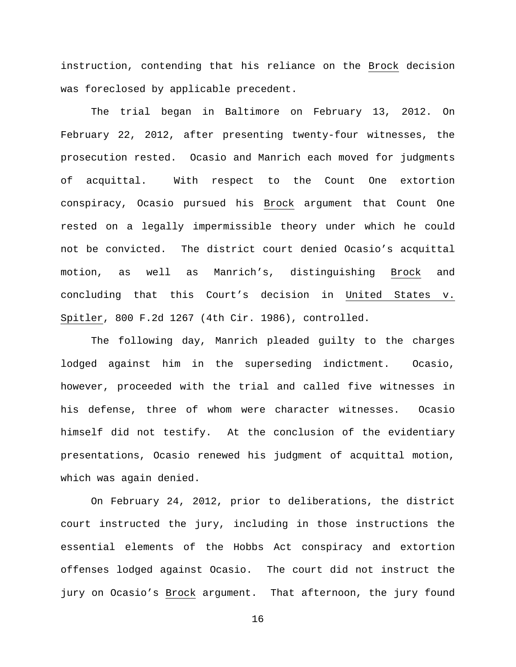instruction, contending that his reliance on the Brock decision was foreclosed by applicable precedent.

The trial began in Baltimore on February 13, 2012. On February 22, 2012, after presenting twenty-four witnesses, the prosecution rested. Ocasio and Manrich each moved for judgments of acquittal. With respect to the Count One extortion conspiracy, Ocasio pursued his Brock argument that Count One rested on a legally impermissible theory under which he could not be convicted. The district court denied Ocasio's acquittal motion, as well as Manrich's, distinguishing Brock and concluding that this Court's decision in United States v. Spitler, 800 F.2d 1267 (4th Cir. 1986), controlled.

The following day, Manrich pleaded guilty to the charges lodged against him in the superseding indictment. Ocasio, however, proceeded with the trial and called five witnesses in his defense, three of whom were character witnesses. Ocasio himself did not testify. At the conclusion of the evidentiary presentations, Ocasio renewed his judgment of acquittal motion, which was again denied.

On February 24, 2012, prior to deliberations, the district court instructed the jury, including in those instructions the essential elements of the Hobbs Act conspiracy and extortion offenses lodged against Ocasio. The court did not instruct the jury on Ocasio's Brock argument. That afternoon, the jury found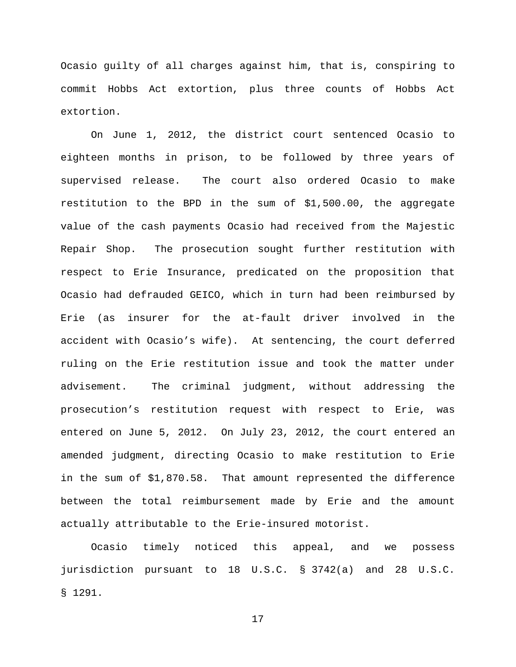Ocasio guilty of all charges against him, that is, conspiring to commit Hobbs Act extortion, plus three counts of Hobbs Act extortion.

On June 1, 2012, the district court sentenced Ocasio to eighteen months in prison, to be followed by three years of supervised release. The court also ordered Ocasio to make restitution to the BPD in the sum of \$1,500.00, the aggregate value of the cash payments Ocasio had received from the Majestic Repair Shop. The prosecution sought further restitution with respect to Erie Insurance, predicated on the proposition that Ocasio had defrauded GEICO, which in turn had been reimbursed by Erie (as insurer for the at-fault driver involved in the accident with Ocasio's wife). At sentencing, the court deferred ruling on the Erie restitution issue and took the matter under advisement. The criminal judgment, without addressing the prosecution's restitution request with respect to Erie, was entered on June 5, 2012. On July 23, 2012, the court entered an amended judgment, directing Ocasio to make restitution to Erie in the sum of \$1,870.58. That amount represented the difference between the total reimbursement made by Erie and the amount actually attributable to the Erie-insured motorist.

Ocasio timely noticed this appeal, and we possess jurisdiction pursuant to 18 U.S.C. § 3742(a) and 28 U.S.C. § 1291.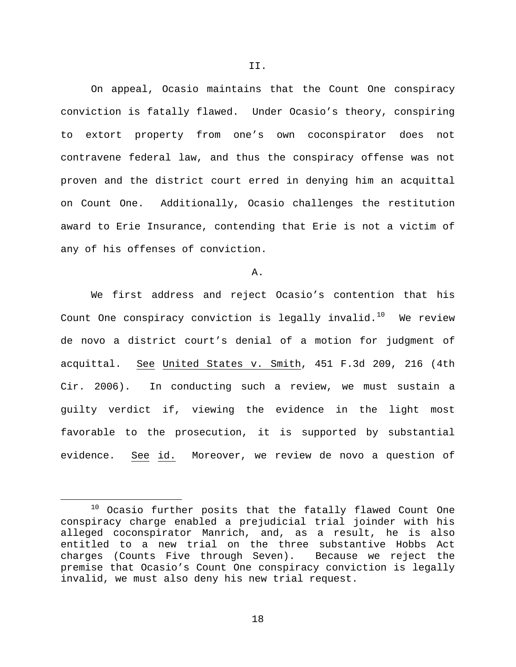On appeal, Ocasio maintains that the Count One conspiracy conviction is fatally flawed. Under Ocasio's theory, conspiring to extort property from one's own coconspirator does not contravene federal law, and thus the conspiracy offense was not proven and the district court erred in denying him an acquittal on Count One. Additionally, Ocasio challenges the restitution award to Erie Insurance, contending that Erie is not a victim of any of his offenses of conviction.

A.

We first address and reject Ocasio's contention that his Count One conspiracy conviction is legally invalid.<sup>10</sup> We review de novo a district court's denial of a motion for judgment of acquittal. See United States v. Smith, 451 F.3d 209, 216 (4th Cir. 2006). In conducting such a review, we must sustain a guilty verdict if, viewing the evidence in the light most favorable to the prosecution, it is supported by substantial evidence. See id. Moreover, we review de novo a question of

<span id="page-17-0"></span> $10$  Ocasio further posits that the fatally flawed Count One conspiracy charge enabled a prejudicial trial joinder with his alleged coconspirator Manrich, and, as a result, he is also entitled to a new trial on the three substantive Hobbs Act charges (Counts Five through Seven). Because we reject the premise that Ocasio's Count One conspiracy conviction is legally invalid, we must also deny his new trial request.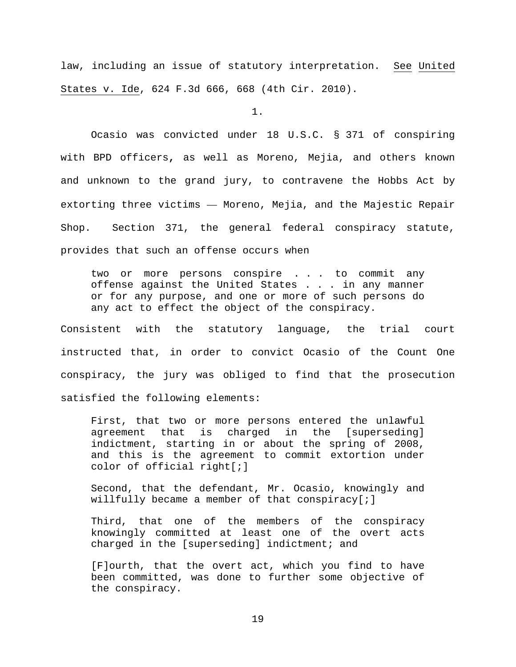law, including an issue of statutory interpretation. See United States v. Ide, 624 F.3d 666, 668 (4th Cir. 2010).

1.

Ocasio was convicted under 18 U.S.C. § 371 of conspiring with BPD officers**,** as well as Moreno, Mejia, and others known and unknown to the grand jury, to contravene the Hobbs Act by extorting three victims — Moreno, Mejia, and the Majestic Repair Shop. Section 371, the general federal conspiracy statute, provides that such an offense occurs when

two or more persons conspire . . . to commit any offense against the United States . . . in any manner or for any purpose, and one or more of such persons do any act to effect the object of the conspiracy.

Consistent with the statutory language, the trial court instructed that, in order to convict Ocasio of the Count One conspiracy, the jury was obliged to find that the prosecution satisfied the following elements:

First, that two or more persons entered the unlawful agreement that is charged in the [superseding] indictment, starting in or about the spring of 2008, and this is the agreement to commit extortion under color of official right[;]

Second, that the defendant, Mr. Ocasio, knowingly and willfully became a member of that conspiracy[;]

Third, that one of the members of the conspiracy knowingly committed at least one of the overt acts charged in the [superseding] indictment; and

[F]ourth, that the overt act, which you find to have been committed, was done to further some objective of the conspiracy.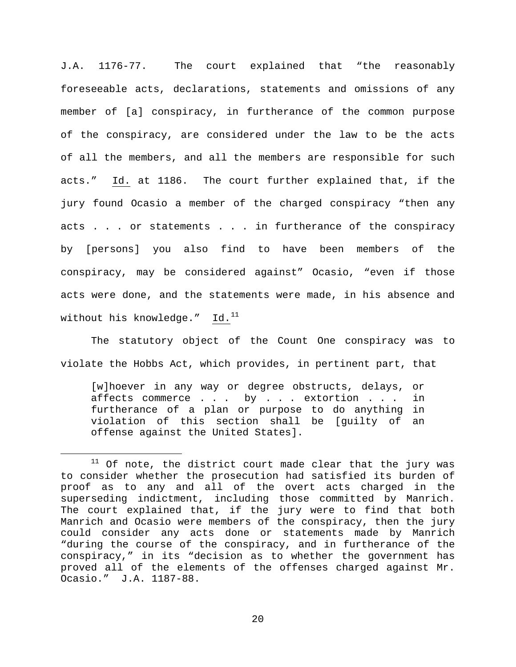J.A. 1176-77. The court explained that "the reasonably foreseeable acts, declarations, statements and omissions of any member of [a] conspiracy, in furtherance of the common purpose of the conspiracy, are considered under the law to be the acts of all the members, and all the members are responsible for such acts." Id. at 1186. The court further explained that, if the jury found Ocasio a member of the charged conspiracy "then any acts . . . or statements . . . in furtherance of the conspiracy by [persons] you also find to have been members of the conspiracy, may be considered against" Ocasio, "even if those acts were done, and the statements were made, in his absence and without his knowledge." Id.<sup>[11](#page-19-0)</sup>

The statutory object of the Count One conspiracy was to violate the Hobbs Act, which provides, in pertinent part, that

[w]hoever in any way or degree obstructs, delays, or affects commerce . . . by . . . extortion . . . in furtherance of a plan or purpose to do anything in violation of this section shall be [guilty of an offense against the United States].

<span id="page-19-0"></span> $11$  Of note, the district court made clear that the jury was to consider whether the prosecution had satisfied its burden of proof as to any and all of the overt acts charged in the superseding indictment, including those committed by Manrich. The court explained that, if the jury were to find that both Manrich and Ocasio were members of the conspiracy, then the jury could consider any acts done or statements made by Manrich "during the course of the conspiracy, and in furtherance of the conspiracy," in its "decision as to whether the government has proved all of the elements of the offenses charged against Mr. Ocasio." J.A. 1187-88.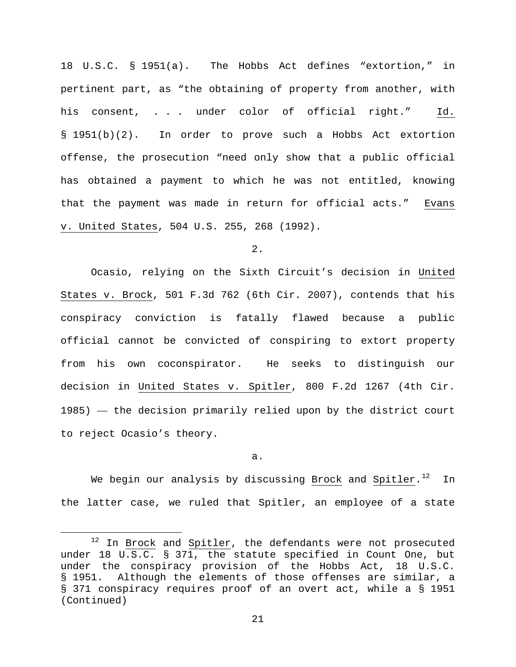18 U.S.C. § 1951(a).The Hobbs Act defines "extortion," in pertinent part, as "the obtaining of property from another, with his consent, . . . under color of official right." Id. § 1951(b)(2). In order to prove such a Hobbs Act extortion offense, the prosecution "need only show that a public official has obtained a payment to which he was not entitled, knowing that the payment was made in return for official acts." Evans v. United States, 504 U.S. 255, 268 (1992).

2.

Ocasio, relying on the Sixth Circuit's decision in United States v. Brock, 501 F.3d 762 (6th Cir. 2007), contends that his conspiracy conviction is fatally flawed because a public official cannot be convicted of conspiring to extort property from his own coconspirator. He seeks to distinguish our decision in United States v. Spitler, 800 F.2d 1267 (4th Cir. 1985) — the decision primarily relied upon by the district court to reject Ocasio's theory.

a.

We begin our analysis by discussing Brock and Spitler.<sup>[12](#page-20-0)</sup> In the latter case, we ruled that Spitler, an employee of a state

<span id="page-20-0"></span> $12$  In Brock and  $Spitler$ , the defendants were not prosecuted under 18 U.S.C. § 371, the statute specified in Count One, but under the conspiracy provision of the Hobbs Act, 18 U.S.C. § 1951. Although the elements of those offenses are similar, a § 371 conspiracy requires proof of an overt act, while a § 1951 (Continued)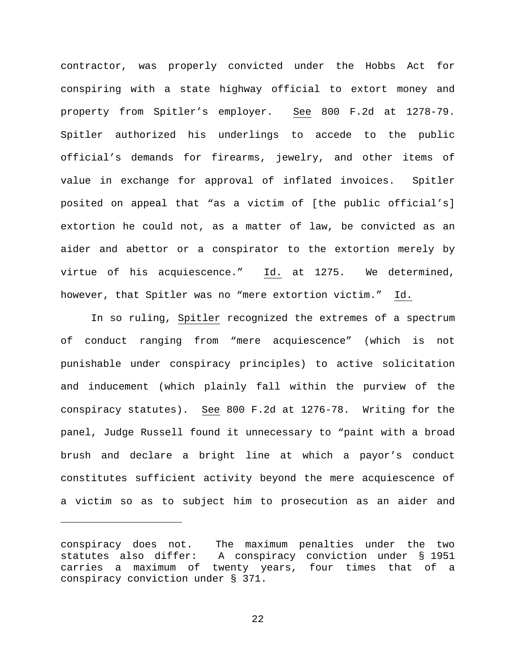contractor, was properly convicted under the Hobbs Act for conspiring with a state highway official to extort money and property from Spitler's employer. See 800 F.2d at 1278-79. Spitler authorized his underlings to accede to the public official's demands for firearms, jewelry, and other items of value in exchange for approval of inflated invoices. Spitler posited on appeal that "as a victim of [the public official's] extortion he could not, as a matter of law, be convicted as an aider and abettor or a conspirator to the extortion merely by virtue of his acquiescence." Id. at 1275. We determined, however, that Spitler was no "mere extortion victim." Id.

In so ruling, Spitler recognized the extremes of a spectrum of conduct ranging from "mere acquiescence" (which is not punishable under conspiracy principles) to active solicitation and inducement (which plainly fall within the purview of the conspiracy statutes). See 800 F.2d at 1276-78. Writing for the panel, Judge Russell found it unnecessary to "paint with a broad brush and declare a bright line at which a payor's conduct constitutes sufficient activity beyond the mere acquiescence of a victim so as to subject him to prosecution as an aider and

Ĩ.

conspiracy does not. The maximum penalties under the two statutes also differ: A conspiracy conviction under § 1951 carries a maximum of twenty years, four times that of a conspiracy conviction under § 371.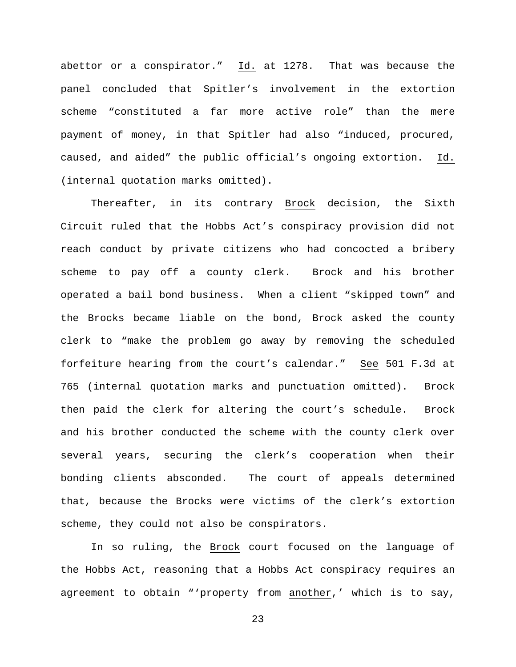abettor or a conspirator." Id. at 1278. That was because the panel concluded that Spitler's involvement in the extortion scheme "constituted a far more active role" than the mere payment of money, in that Spitler had also "induced, procured, caused, and aided" the public official's ongoing extortion. Id. (internal quotation marks omitted).

Thereafter, in its contrary Brock decision, the Sixth Circuit ruled that the Hobbs Act's conspiracy provision did not reach conduct by private citizens who had concocted a bribery scheme to pay off a county clerk. Brock and his brother operated a bail bond business. When a client "skipped town" and the Brocks became liable on the bond, Brock asked the county clerk to "make the problem go away by removing the scheduled forfeiture hearing from the court's calendar." See 501 F.3d at 765 (internal quotation marks and punctuation omitted). Brock then paid the clerk for altering the court's schedule. Brock and his brother conducted the scheme with the county clerk over several years, securing the clerk's cooperation when their bonding clients absconded. The court of appeals determined that, because the Brocks were victims of the clerk's extortion scheme, they could not also be conspirators.

In so ruling, the Brock court focused on the language of the Hobbs Act, reasoning that a Hobbs Act conspiracy requires an agreement to obtain "'property from another,' which is to say,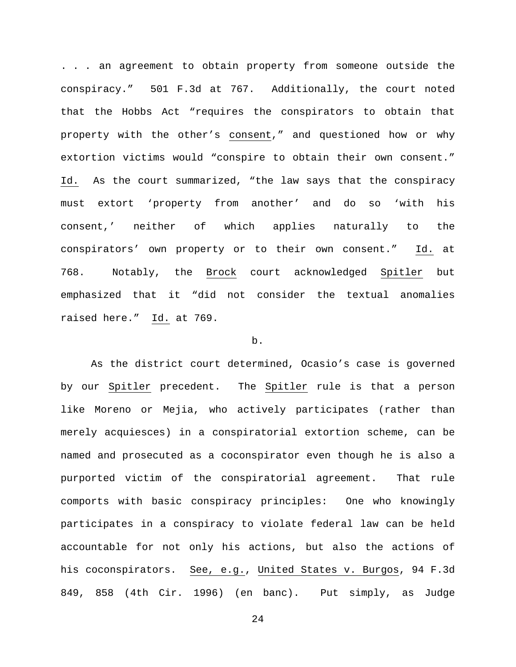. . . an agreement to obtain property from someone outside the conspiracy." 501 F.3d at 767. Additionally, the court noted that the Hobbs Act "requires the conspirators to obtain that property with the other's consent," and questioned how or why extortion victims would "conspire to obtain their own consent." Id. As the court summarized, "the law says that the conspiracy must extort 'property from another' and do so 'with his consent,' neither of which applies naturally to the conspirators' own property or to their own consent." Id. at 768. Notably, the Brock court acknowledged Spitler but emphasized that it "did not consider the textual anomalies raised here." Id. at 769.

# b.

As the district court determined, Ocasio's case is governed by our Spitler precedent. The Spitler rule is that a person like Moreno or Mejia, who actively participates (rather than merely acquiesces) in a conspiratorial extortion scheme, can be named and prosecuted as a coconspirator even though he is also a purported victim of the conspiratorial agreement. That rule comports with basic conspiracy principles: One who knowingly participates in a conspiracy to violate federal law can be held accountable for not only his actions, but also the actions of his coconspirators. See, e.g., United States v. Burgos, 94 F.3d 849, 858 (4th Cir. 1996) (en banc). Put simply, as Judge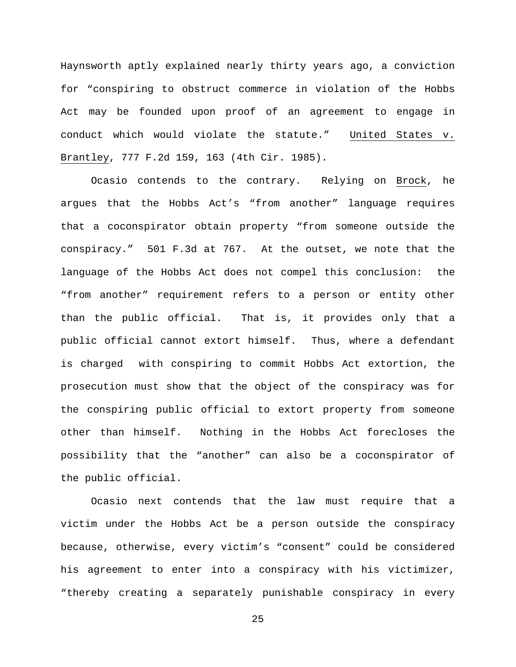Haynsworth aptly explained nearly thirty years ago, a conviction for "conspiring to obstruct commerce in violation of the Hobbs Act may be founded upon proof of an agreement to engage in conduct which would violate the statute." United States v. Brantley, 777 F.2d 159, 163 (4th Cir. 1985).

Ocasio contends to the contrary. Relying on Brock, he argues that the Hobbs Act's "from another" language requires that a coconspirator obtain property "from someone outside the conspiracy." 501 F.3d at 767. At the outset, we note that the language of the Hobbs Act does not compel this conclusion: the "from another" requirement refers to a person or entity other than the public official. That is, it provides only that a public official cannot extort himself. Thus, where a defendant is charged with conspiring to commit Hobbs Act extortion, the prosecution must show that the object of the conspiracy was for the conspiring public official to extort property from someone other than himself. Nothing in the Hobbs Act forecloses the possibility that the "another" can also be a coconspirator of the public official.

Ocasio next contends that the law must require that a victim under the Hobbs Act be a person outside the conspiracy because, otherwise, every victim's "consent" could be considered his agreement to enter into a conspiracy with his victimizer, "thereby creating a separately punishable conspiracy in every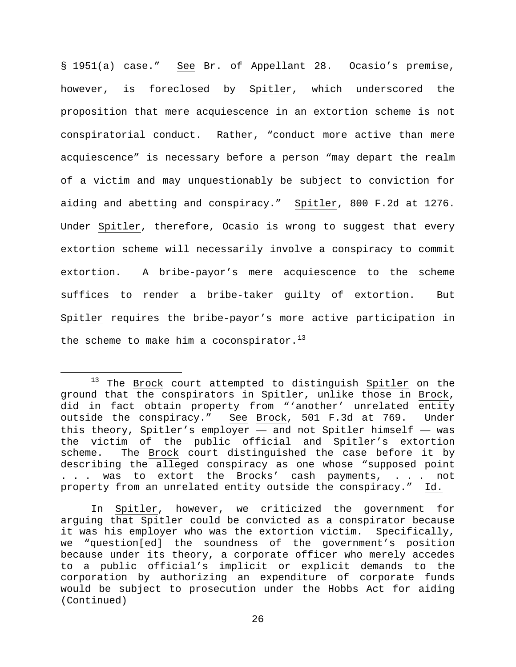§ 1951(a) case." See Br. of Appellant 28. Ocasio's premise, however, is foreclosed by Spitler, which underscored the proposition that mere acquiescence in an extortion scheme is not conspiratorial conduct. Rather, "conduct more active than mere acquiescence" is necessary before a person "may depart the realm of a victim and may unquestionably be subject to conviction for aiding and abetting and conspiracy." Spitler, 800 F.2d at 1276. Under Spitler, therefore, Ocasio is wrong to suggest that every extortion scheme will necessarily involve a conspiracy to commit extortion. A bribe-payor's mere acquiescence to the scheme suffices to render a bribe-taker guilty of extortion. But Spitler requires the bribe-payor's more active participation in the scheme to make him a coconspirator.<sup>[13](#page-25-0)</sup>

<span id="page-25-0"></span><sup>&</sup>lt;sup>13</sup> The Brock court attempted to distinguish Spitler on the ground that the conspirators in Spitler, unlike those in Brock, did in fact obtain property from "'another' unrelated entity outside the conspiracy." See Brock, 501 F.3d at 769. Under this theory, Spitler's employer — and not Spitler himself — was the victim of the public official and Spitler's extortion<br>scheme. The Brock court distinguished the case before it by The Brock court distinguished the case before it by describing the alleged conspiracy as one whose "supposed point ... was to extort the Brocks' cash payments, ... not property from an unrelated entity outside the conspiracy." Id.

In Spitler, however, we criticized the government for arguing that Spitler could be convicted as a conspirator because it was his employer who was the extortion victim. Specifically, we "question[ed] the soundness of the government's position because under its theory, a corporate officer who merely accedes to a public official's implicit or explicit demands to the corporation by authorizing an expenditure of corporate funds would be subject to prosecution under the Hobbs Act for aiding (Continued)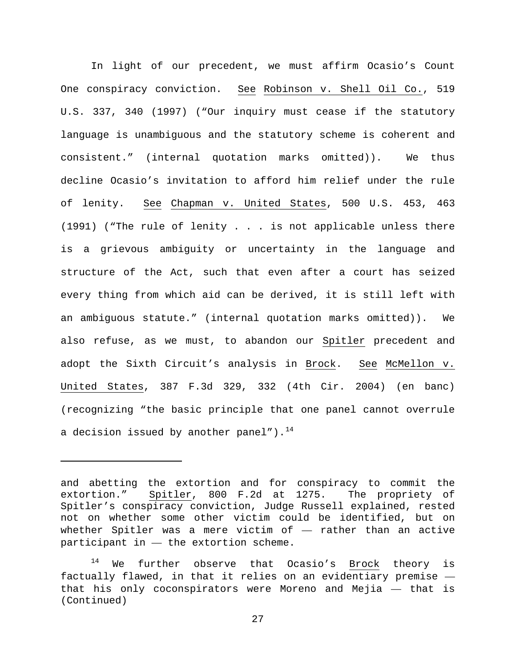In light of our precedent, we must affirm Ocasio's Count One conspiracy conviction. See Robinson v. Shell Oil Co., 519 U.S. 337, 340 (1997) ("Our inquiry must cease if the statutory language is unambiguous and the statutory scheme is coherent and consistent." (internal quotation marks omitted)). We thus decline Ocasio's invitation to afford him relief under the rule of lenity. See Chapman v. United States, 500 U.S. 453, 463 (1991) ("The rule of lenity . . . is not applicable unless there is a grievous ambiguity or uncertainty in the language and structure of the Act, such that even after a court has seized every thing from which aid can be derived, it is still left with an ambiguous statute." (internal quotation marks omitted)). We also refuse, as we must, to abandon our Spitler precedent and adopt the Sixth Circuit's analysis in Brock. See McMellon v. United States, 387 F.3d 329, 332 (4th Cir. 2004) (en banc) (recognizing "the basic principle that one panel cannot overrule a decision issued by another panel").<sup>[14](#page-26-0)</sup>

Ĩ.

and abetting the extortion and for conspiracy to commit the extortion." Spitler, 800 F.2d at 1275. The propriety of Spitler's conspiracy conviction, Judge Russell explained, rested not on whether some other victim could be identified, but on whether Spitler was a mere victim of — rather than an active  $participant$  in  $-$  the extortion scheme.

<span id="page-26-0"></span> $14$  We further observe that Ocasio's Brock theory is factually flawed, in that it relies on an evidentiary premise that his only coconspirators were Moreno and Mejia — that is (Continued)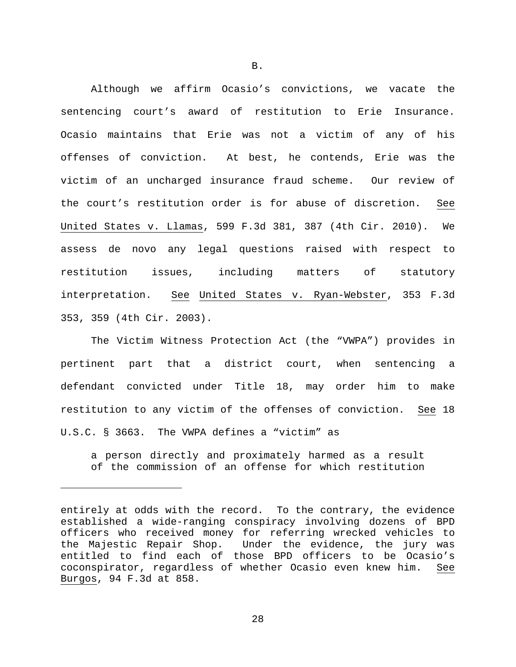Although we affirm Ocasio's convictions, we vacate the sentencing court's award of restitution to Erie Insurance. Ocasio maintains that Erie was not a victim of any of his offenses of conviction. At best, he contends, Erie was the victim of an uncharged insurance fraud scheme. Our review of the court's restitution order is for abuse of discretion. See United States v. Llamas, 599 F.3d 381, 387 (4th Cir. 2010). We assess de novo any legal questions raised with respect to restitution issues, including matters of statutory interpretation. See United States v. Ryan-Webster, 353 F.3d 353, 359 (4th Cir. 2003).

The Victim Witness Protection Act (the "VWPA") provides in pertinent part that a district court, when sentencing a defendant convicted under Title 18, may order him to make restitution to any victim of the offenses of conviction. See 18 U.S.C. § 3663. The VWPA defines a "victim" as

a person directly and proximately harmed as a result of the commission of an offense for which restitution

Ĩ.

entirely at odds with the record. To the contrary, the evidence established a wide-ranging conspiracy involving dozens of BPD officers who received money for referring wrecked vehicles to<br>the Majestic Repair Shop. Under the evidence, the jury was Under the evidence, the jury was entitled to find each of those BPD officers to be Ocasio's coconspirator, regardless of whether Ocasio even knew him. See Burgos, 94 F.3d at 858.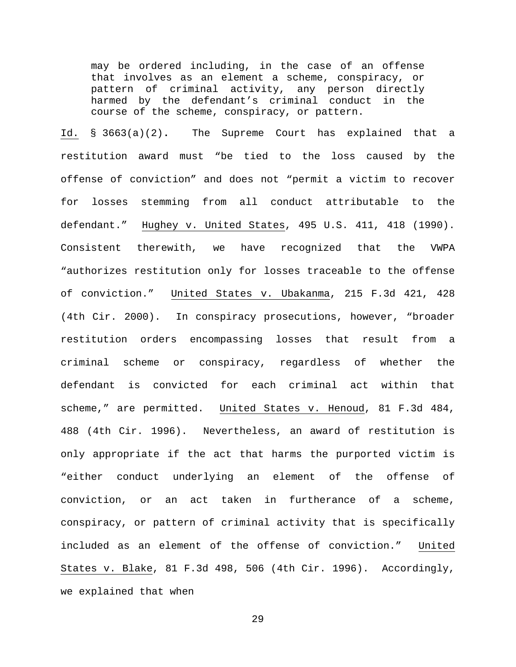may be ordered including, in the case of an offense that involves as an element a scheme, conspiracy, or pattern of criminal activity, any person directly harmed by the defendant's criminal conduct in the course of the scheme, conspiracy, or pattern.

Id. § 3663(a)(2)**.** The Supreme Court has explained that a restitution award must "be tied to the loss caused by the offense of conviction" and does not "permit a victim to recover for losses stemming from all conduct attributable to the defendant." Hughey v. United States, 495 U.S. 411, 418 (1990). Consistent therewith, we have recognized that the VWPA "authorizes restitution only for losses traceable to the offense of conviction." United States v. Ubakanma, 215 F.3d 421, 428 (4th Cir. 2000). In conspiracy prosecutions, however, "broader restitution orders encompassing losses that result from a criminal scheme or conspiracy, regardless of whether the defendant is convicted for each criminal act within that scheme," are permitted. United States v. Henoud, 81 F.3d 484, 488 (4th Cir. 1996). Nevertheless, an award of restitution is only appropriate if the act that harms the purported victim is "either conduct underlying an element of the offense of conviction, or an act taken in furtherance of a scheme, conspiracy, or pattern of criminal activity that is specifically included as an element of the offense of conviction." United States v. Blake, 81 F.3d 498, 506 (4th Cir. 1996). Accordingly, we explained that when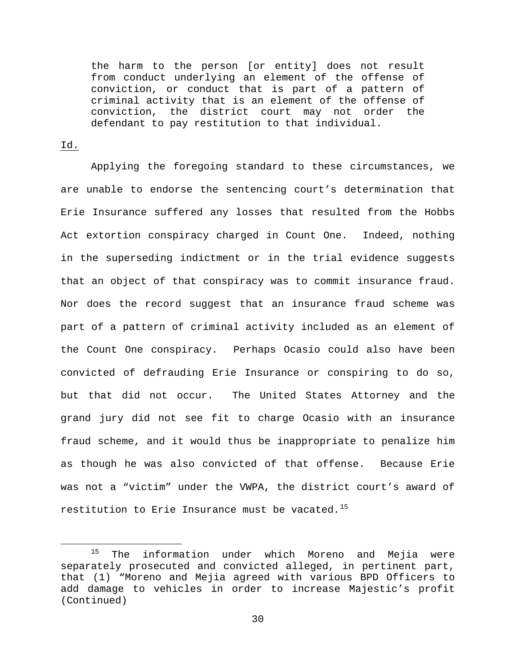the harm to the person [or entity] does not result from conduct underlying an element of the offense of conviction, or conduct that is part of a pattern of criminal activity that is an element of the offense of conviction, the district court may not order the defendant to pay restitution to that individual.

# Id.

Applying the foregoing standard to these circumstances, we are unable to endorse the sentencing court's determination that Erie Insurance suffered any losses that resulted from the Hobbs Act extortion conspiracy charged in Count One. Indeed, nothing in the superseding indictment or in the trial evidence suggests that an object of that conspiracy was to commit insurance fraud. Nor does the record suggest that an insurance fraud scheme was part of a pattern of criminal activity included as an element of the Count One conspiracy. Perhaps Ocasio could also have been convicted of defrauding Erie Insurance or conspiring to do so, but that did not occur. The United States Attorney and the grand jury did not see fit to charge Ocasio with an insurance fraud scheme, and it would thus be inappropriate to penalize him as though he was also convicted of that offense. Because Erie was not a "victim" under the VWPA, the district court's award of restitution to Erie Insurance must be vacated.<sup>[15](#page-29-0)</sup>

<span id="page-29-0"></span><sup>&</sup>lt;sup>15</sup> The information under which Moreno and Mejia were separately prosecuted and convicted alleged, in pertinent part, that (1) "Moreno and Mejia agreed with various BPD Officers to add damage to vehicles in order to increase Majestic's profit (Continued)